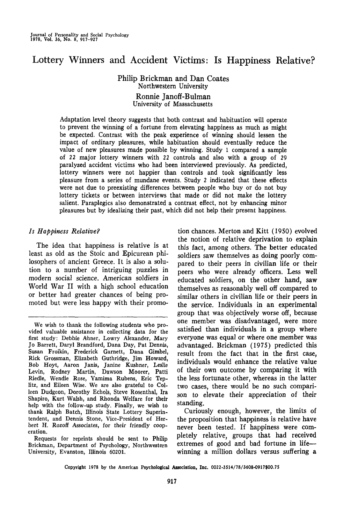# Lottery Winners and Accident Victims: Is Happiness Relative?

Philip Brickman and Dan Coates Northwestern University Ronnie Janoff-Bulman University of Massachusetts

Adaptation level theory suggests that both contrast and habituation will operate to prevent the winning of a fortune from elevating happiness as much as might be expected. Contrast with the peak experience of winning should lessen the impact of ordinary pleasures, while habituation should eventually reduce the value of new pleasures made possible by winning. Study 1 compared a sample of *22* major lottery winners with 22 controls and also with a group of 29 paralyzed accident victims who had been interviewed previously. As predicted, lottery winners were not happier than controls and took significantly less pleasure from a series of mundane events. Study 2 indicated that these effects were not due to preexisting differences between people who buy or do not buy lottery tickets or between interviews that made or did not make the lottery salient. Paraplegics also demonstrated a contrast effect, not by enhancing minor pleasures but by idealizing their past, which did not help their present happiness.

## *Is Happiness Relative?*

The idea that happiness is relative is at least as old as the Stoic and Epicurean philosophers of ancient Greece. It is also a solution to a number of intriguing puzzles in modern social science. American soldiers in World War II with a high school education or better had greater chances of being promoted but were less happy with their promo-

tion chances. Merton and Kitt (19SO) evolved the notion of relative deprivation to explain this fact, among others. The better educated soldiers saw themselves as doing poorly compared to their peers in civilian life or their peers who were already officers. Less well educated soldiers, on the other hand, saw themselves as reasonably well off compared to similar others in civilian life or their peers in the service. Individuals in an experimental group that was objectively worse off, because one member was disadvantaged, were more satisfied than individuals in a group where everyone was equal or where one member was advantaged. Brickman (1975) predicted this result from the fact that in the first case, individuals would enhance the relative value of their own outcome by comparing it with the less fortunate other, whereas in the latter two cases, there would be no such comparison to elevate their appreciation of their standing.

Curiously enough, however, the limits of the proposition that happiness is relative have never been tested. If happiness were completely relative, groups that had received extremes of good and bad fortune in life winning a million dollars versus suffering a

Copyright 1978 by the American Psychological Association, Inc. 0022-3514/78/3608-0917\$00.75

We wish to thank the following students who provided valuable assistance in collecting data for the first study: Debbie Ahner, Lowry Alexander, Mary Jo Barrett, Daryl Brandford, Dana Day, Pat Dennis, Susan Froikin, Frederick Garnett, Dana Gimbel, Rick Grossman, Elizabeth Guthridge, Jim Howard, Bob Hoyt, Aaron Janis, Janine Kushner, Leslie Levin, Rodney Martin, Dawson Moorer, Patti Riedle, Wendie Rose, Yamima Rubens, Eric Teplitz, and Eileen Wise. We are also grateful to Colleen Dudgeon, Dorothy Echols, Steve Rosenthal, Ira Shapiro, Kurt Walsh, and Rhonda Welfare for their help with the follow-up study. Finally, we wish to thank Ralph Batch, Illinois State Lottery Superintendent, and Dennis Stone, Vice-President of Herbert H. Rozoff Associates, for their friendly cooperation.

Requests for reprints should be sent to Philip Brickman, Department of Psychology, Northwestern University, Evanston, Illinois 60201.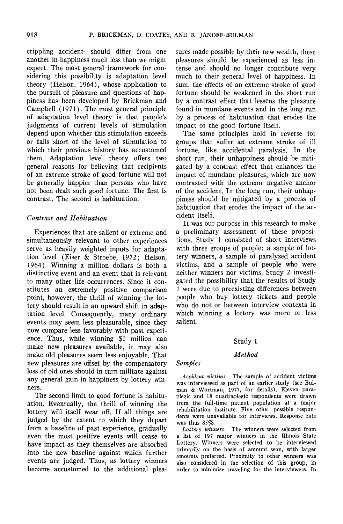crippling accident—should differ from one another in happiness much less than we might expect. The most general framework for considering this possibility is adaptation level theory (Helson, 1964), whose application to the pursuit of pleasure and questions of happiness has been developed by Brickman and Campbell (1971). The most general principle of adaptation level theory is that people's judgments of current levels of stimulation depend upon whether this stimulation exceeds or falls short of the level of stimulation to which their previous history has accustomed them. Adaptation level theory offers two general reasons for believing that recipients of an extreme stroke of good fortune will not be generally happier than persons who have not been dealt such good fortune. The first is contrast. The second is habituation.

## *Contrast and Habituation*

Experiences that are salient or extreme and simultaneously relevant to other experiences serve as heavily weighted inputs for adaptation level (Eiser & Stroebe, 1972; Helson, 1964). Winning a million dollars is both a distinctive event and an event that is relevant to many other life occurrences. Since it constitutes an extremely positive comparison point, however, the thrill of winning the lottery should result in an upward shift in adaptation level. Consequently, many ordinary events may seem less pleasurable, since they now compare less favorably with past experience. Thus, while winning \$1 million can make new pleasures available, it may also make old pleasures seem less enjoyable. That new pleasures are offset by the compensatory loss of old ones should in turn militate against any general gain in happiness by lottery winners.

The second limit to good fortune is habituation. Eventually, the thrill of winning the lottery will itself wear off. If all things are judged by the extent to which they depart from a baseline of past experience, gradually even the most positive events will cease to have impact as they themselves are absorbed into the new baseline against which further events are judged. Thus, as lottery winners become accustomed to the additional pleasures made possible by their new wealth, these pleasures should be experienced as less intense and should no longer contribute very much to their general level of happiness. In sum, the effects of an extreme stroke of good fortune should be weakened in the short run by a contrast effect that lessens the pleasure found in mundane events and in the long run by a process of habituation that erodes the impact of the good fortune itself.

The same principles hold in reverse for groups that surfer an extreme stroke of ill fortune, like accidental paralysis. In the short run, their unhappiness should be mitigated by a contrast effect that enhances the impact of mundane pleasures, which are now contrasted with the extreme negative anchor of the accident. In the long run, their unhappiness should be mitigated by a process of habituation that erodes the impact of the accident itself.

It was our purpose in this research to make a preliminary assessment of these propositions. Study 1 consisted of short interviews with three groups of people: a sample of lottery winners, a sample of paralyzed accident victims, and a sample of people who were neither winners nor victims. Study 2 investigated the possibility that the results of Study 1 were due 'to preexisting differences between people who buy lottery tickets and people who do not or between interview contexts in which winning a lottery was more or less salient.

#### Study 1

#### *Method*

*Samples*

*Accident victims.* The sample of accident victims was interviewed as part of an earlier study (see Buiman & Wortman, 1977, for details). Eleven paraplegic and 18 quadraplegic respondents were drawn from the full-time patient population at a major rehabilitation institute. Five other possible respondents were unavailable for interviews. Response rate was thus 85%.

*Lottery winners.* The winners were selected from a list of 197 major winners in the Illinois State Lottery. Winners were selected to be interviewed primarily on the basis of amount won, with larger amounts preferred. Proximity to other winners was also considered in the selection of this group, in order to minimize traveling for the interviewers. In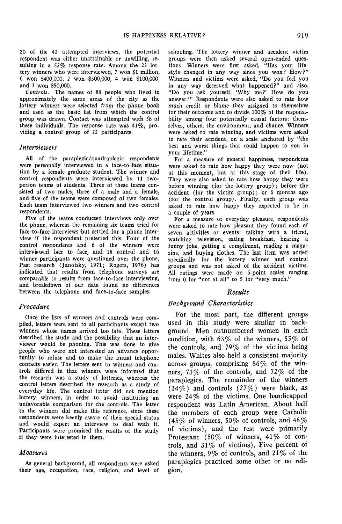20 of the 42 attempted interviews, the potential respondent was either unattainable or unwilling, resulting in a 52% response rate. Among the 22 lottery winners who were interviewed, 7 won \$1 million, 6 won \$400,000, 2 won \$300,000, 4 won \$100,000, and 3 won \$50,000.

*Controls.* The names of 88 people who lived in approximately the same areas of the city as the lottery winners were selected from the phone book and used as the basic list from which the control group was drawn. Contact was attempted with 58 of these individuals. The response rate was 41%, providing a control group of 22 participants.

#### *Interviewers*

All of the paraplegic/quadraplegic respondents were personally interviewed in a face-to-face situation by a female graduate student. The winner and control respondents were interviewed by 11 twoperson teams of students. Three of these teams consisted of two males, three of a male and a female, and five of the teams were composed of two females. Each team interviewed two winners and two control respondents.

Five of the teams conducted interviews only over the phone, whereas the remaining six teams tried for face-to-face interviews but settled for a phone interview if the respondent preferred this. Four of the control respondents and 6 of the winners were interviewed face to face, and 18 control and 16 winner participants were questioned over the phone. Past research (Janofsky, 1971; Rogers, 1976) has indicated that results from telephone surveys are comparable to results from face-to-face interviewing, and breakdown of our data found no differences between the telephone and face-to-face samples.

#### *Procedure*

Once the lists of winners and controls were compiled, letters were sent to all participants except two winners whose names arrived too late. These letters described the study and the possibility that an interviewer would be phoning. This was done to give people who were not interested an advance opportunity to refuse and to make the initial telephone contacts easier. The letters sent to winners and controls differed in that winners were informed that the research was a study of lotteries, whereas the control letters described the research as a study of everyday life. The control letter did not mention lottery winners, in order to avoid instituting an unfavorable comparison for the controls. The letter to the winners did make this reference, since these respondents were keenly aware of their special status and would expect an interview to deal with it. Participants were promised the results of the study if they were interested in them.

#### *Measures*

As general background, all respondents were asked their age, occupation, race, religion, and level of schooling. The lottery winner and accident victim groups were then asked several open-ended questions. Winners were first asked, "Has your lifestyle changed in any way since you won? How?" Winners and victims were asked, "Do you feel you in any way deserved what happened?" and also, "Do you ask yourself, 'Why me?' How do you answer?" Respondents were also asked to rate how much credit or blame they assigned to themselves for their outcome and to divide 100% of the responsibility among four potentially causal factors: themselves, others, the environment, and chance. Winners were asked to rate winning, and victims were asked to rate their accident, on a scale anchored by "the best and worst things that could happen to you in your lifetime."

For a measure of general happiness, respondents were asked to rate how happy they were now (not at this moment, but at this stage of their life). They were also asked to rate how happy they were before winning (for the lottery group); before the accident (for the victim group); or 6 months ago (for the control group). Finally, each group was asked to rate how happy they expected to be in a couple of years.

For a measure of everyday pleasure, respondents were asked to rate how pleasant they found each of seven activities or events: talking with a friend, watching television, eating breakfast, hearing a funny joke, getting a compliment, reading a magazine, and buying clothes. The last item was added specifically for the lottery winner and control groups and was not asked of the accident victims. All ratings were made on 6-point scales ranging from 0 for "not at all" to 5 for "very much."

#### *Results*

#### *Background Characteristics*

For the most part, the different groups used in this study were similar in background. Men outnumbered women in each condition, with *63%* of the winners, *55%* of the controls, and  $79\%$  of the victims being males. Whites also held a consistent majority across groups, comprising 86% of the winners, 73% of the controls, and 72% of the paraplegics. The remainder of the winners (14%) and controls *(27%)* were black, as were 24% of the victims. One handicapped respondent was Latin American. About half the members of each group were Catholic (45% of winners, *50%* of controls, and 48% of victims), and the rest were primarily Protestant (50% of winners, 41% of controls, and  $31\%$  of victims). Five percent of the winners, *9%* of controls, and 21% of the paraplegics practiced some other or no religion.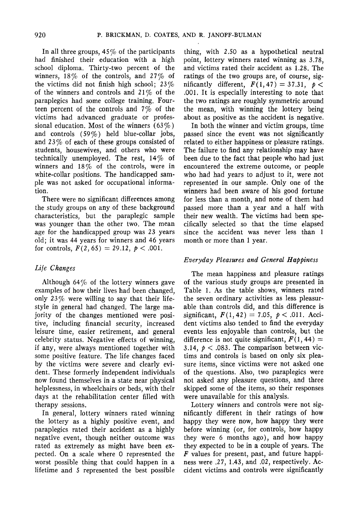In all three groups, *45%* of the participants had finished their education with a high school diploma. Thirty-two percent of the winners, *18%* of the controls, and 27% of the victims did not finish high school; *23%* of the winners and controls and *21%* of the paraplegics had some college training. Fourteen percent of the controls and *7%* of the victims had advanced graduate or professional education. Most of the winners (63%) and controls (59%) held blue-collar jobs, and 23% of each of these groups consisted of students, housewives, and others who were technically unemployed. The rest,  $14\%$  of winners and 18% of the controls, were in white-collar positions. The handicapped sample was not asked for occupational information.

There were no significant differences among the study groups on any of these background characteristics, but the paraplegic sample was younger than the other two. The mean age for the handicapped group was 23 years old; it was 44 years for winners and 46 years for controls,  $F(2, 65) = 29.12, p < .001$ .

## *Life Changes*

Although  $64\%$  of the lottery winners gave examples of how their lives had been changed, only  $23\%$  were willing to say that their lifestyle in general had changed. The large majority of the changes mentioned were positive, including financial security, increased leisure time, easier retirement, and general celebrity status. Negative effects of winning, if any, were always mentioned together with some positive feature. The life changes faced by the victims were severe and clearly evident. These formerly independent individuals now found themselves in a state near physical helplessness, in wheelchairs or beds, with their days at the rehabilitation center filled with therapy sessions.

In general, lottery winners rated winning the lottery as a highly positive event, and paraplegics rated their accident as a highly negative event, though neither outcome was rated as extremely as might have been expected. On a scale where 0 represented the worst possible thing that could happen in a lifetime and *5* represented the best possible thing, with 2.50 as a hypothetical neutral point, lottery winners rated winning as 3.78, and victims rated their accident as 1.28. The ratings of the two groups are, of course, significantly different,  $F(1,47)=37.31, p <$ .001. It is especially interesting to note that the two ratings are roughly symmetric around the mean, with winning the lottery being about as positive as the accident is negative.

In both the winner and victim groups, time passed since the event was not significantly related to either happiness or pleasure ratings. The failure to find any relationship may have been due to the fact that people who had just encountered the extreme outcome, or people who had had years to adjust to it, were not represented in our sample. Only one of the winners had been aware of his good fortune for less than a month, and none of them had passed more than a year and a half with their new wealth. The victims had been specifically selected so that the time elapsed since the accident was never less than 1 month or more than 1 year.

## *Everyday Pleasures and General Happiness*

The mean happiness and pleasure ratings of the various study groups are presented in Table 1. As the table shows, winners rated the seven ordinary activities as less pleasurable than controls did, and this difference is significant,  $F(1, 42) = 7.05$ ,  $p < .011$ . Accident victims also tended to find the everyday events less enjoyable than controls, but the difference is not quite significant,  $F(1, 44) =$ 3.14,  $p < .083$ . The comparison between victims and controls is based on only six pleasure items, since victims were not asked one of the questions. Also, two paraplegics were not asked any pleasure questions, and three skipped some of the items, so their responses were unavailable for this analysis.

Lottery winners and controls were not significantly different in their ratings of how happy they were now, how happy they were before winning (or, for controls, how happy they were 6 months ago), and how happy they expected to be in a couple of years. The *F* values for present, past, and future happiness were .27, 1.43, and .02, respectively. Accident victims and controls were significantly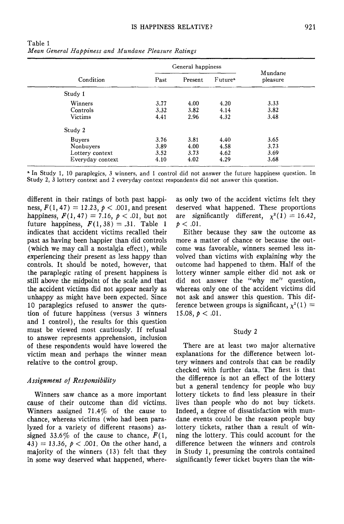| Condition        | General happiness |         |                     | Mundane  |
|------------------|-------------------|---------|---------------------|----------|
|                  | Past              | Present | Future <sup>a</sup> | pleasure |
| Study 1          |                   |         |                     |          |
| Winners          | 3.77              | 4.00    | 4.20                | 3.33     |
| Controls         | 3.32              | 3.82    | 4.14                | 3.82     |
| Victims          | 4.41              | 2.96    | 4.32                | 3.48     |
| Study 2          |                   |         |                     |          |
| <b>Buyers</b>    | 3.76              | 3.81    | 4.40                | 3.65     |
| Nonbuyers        | 3.89              | 4.00    | 4.58                | 3.73     |
| Lottery context  | 3.52              | 3.73    | 4.62                | 3.69     |
| Everyday context | 4.10              | 4.02    | 4.29                | 3.68     |

Table 1 *Mean General Happiness and Mundane Pleasure Ratings*

• In Study 1, 10 paraplegics, 3 winners, and 1 control did not answer the future happiness question. In Study 2, 3 lottery context and 2 everyday context respondents did not answer this question.

different in their ratings of both past happiness,  $F(1, 47) = 12.23$ ,  $p < .001$ , and present happiness,  $F(1, 47) = 7.16$ ,  $p < .01$ , but not future happiness,  $F(1, 38) = .31$ . Table 1 indicates that accident victims recalled their past as having been happier than did controls (which we may call a nostalgia effect), while experiencing their present as less happy than controls. It should be noted, however, that the paraplegic rating of present happiness is still above the midpoint of the scale and that the accident victims did not appear nearly as unhappy as might have been expected. Since 10 paraplegics refused to answer the question of future happiness (versus 3 winners and 1 control), the results for this question must be viewed most cautiously. If refusal to answer represents apprehension, inclusion of these respondents would have lowered the victim mean and perhaps the winner mean relative to the control group.

## *Assignment of Responsibility*

Winners saw chance as a more important cause of their outcome than did victims. Winners assigned  $71.4\%$  of the cause to chance, whereas victims (who had been paralyzed for a variety of different reasons) assigned 33.6% of the cause to chance,  $F(1,$ 43) = 13.36,  $p < .001$ . On the other hand, a majority of the winners (13) felt that they in some way deserved what happened, whereas only two of the accident victims felt they deserved what happened. These proportions are significantly different,  $\chi^2(1) = 16.42$ ,  $p < .01$ .

Either because they saw the outcome as more a matter of chance or because the outcome was favorable, winners seemed less involved than victims with explaining why the outcome had happened to them. Half of the lottery winner sample either did not ask or did not answer the "why me" question, Whereas only one of the accident victims did not ask and answer this question. This difference between groups is significant,  $\chi^2(1) =$ 15.08,  $p < .01$ .

## Study 2

There are at least two major alternative explanations for the difference between lottery winners and controls that can be readily checked with further data. The first is that the difference is not an effect of the lottery but a general tendency for people who buy lottery tickets to find less pleasure in their lives than people who do not buy tickets. Indeed, a degree of dissatisfaction with mundane events could be the reason people buy lottery tickets, rather than a result of winning the lottery. This could account for the difference between the winners and controls in Study 1, presuming the controls contained significantly fewer ticket buyers than the win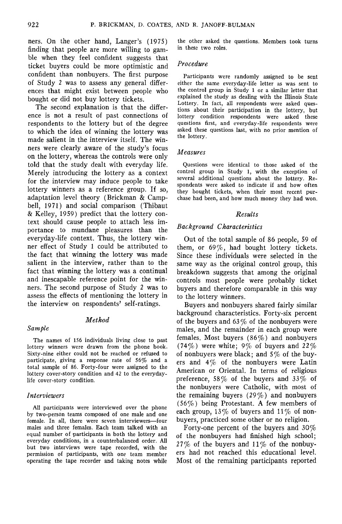ners. On the other hand, Langer's (197S) finding that people are more willing to gamble when they feel confident suggests that ticket buyers could be more optimistic and confident than nonbuyers. The first purpose of Study 2 was to assess any general differences that might exist between people who bought or did not buy lottery tickets.

The second explanation is that the difference is not a result of past connections of respondents to the lottery but of the degree to which the idea of winning the lottery was made salient in the interview itself. The winners were clearly aware of the study's focus on the lottery, whereas the controls were only told that the study dealt with everyday life. Merely introducing the lottery as a context for the interview may induce people to take lottery winners as a reference group. If so, adaptation level theory (Brickman & Campbell, 1971) and social comparison (Thibaut & Kelley, 19S9) predict that the lottery context should cause people to attach less importance to mundane pleasures than the everyday-life context. Thus, the lottery winner effect of Study 1 could be attributed to the fact that winning the lottery was made salient in the interview, rather than to the fact that winning the lottery was a continual and inescapable reference point for the winners. The second purpose of Study 2 was to assess the effects of mentioning the lottery in the interview on respondents' self-ratings.

## *Method*

#### *Sample*

The names of 156 individuals living close to past lottery winners were drawn from the phone book. Sixty-nine either could not be reached or refused to participate, giving a response rate of 56% and a total sample of 86. Forty-four were assigned to the lottery cover-story condition and 42 to the everydaylife cover-story condition.

## *Interviewers*

All participants were interviewed over the phone by two-person teams composed of one male and one female. In all, there were seven interviewers—four males and three females. Each team talked with an equal number of participants in both the lottery and everyday conditions, in a counterbalanced order. All but two interviews were tape recorded, with the permission of participants, with one team member operating the tape recorder and taking notes while

the other asked the questions. Members took turns in these two roles.

## *Procedure*

Participants were randomly assigned to be sent either the same everyday-life letter as was sent to the control group in Study 1 or a similar letter that explained the study as dealing with the Illinois State Lottery. In fact, all respondents were asked questions about their participation in the lottery, but lottery condition respondents were asked these questions first, and everyday-life respondents were asked these questions last, with no prior mention of the lottery.

#### *Measures*

Questions were identical to those asked of the control group in Study 1, with the exception of several additional questions about the lottery. Respondents were asked to indicate if and how often they bought tickets, when their most recent purchase had been, and how much money they had won.

## *Results*

## *Background Characteristics*

Out of the total sample of 86 people, 59 of them, or 69%, had bought lottery tickets. Since these individuals were selected in the same way as the original control group, this breakdown suggests that among the original controls most people were probably ticket buyers and therefore comparable in this way to the lottery winners.

Buyers and nonbuyers shared fairly similar background characteristics. Forty-six percent of the buyers and  $63\%$  of the nonbuyers were males, and the remainder in each group were females. Most buyers  $(86\%)$  and nonbuyers (74%) were white; 9% of buyers and 22% of nonbuyers were black; and *5%* of the buyers and  $4\%$  of the nonbuyers were Latin American or Oriental. In terms of religious preference, 58% of the buyers and 33% of the nonbuyers were Catholic, with most of the remaining buyers  $(29\%)$  and nonbuyers (56%) being Protestant. A few members of each group,  $13\%$  of buyers and  $11\%$  of nonbuyers, practiced some other or no religion.

Forty-one percent of the buyers and 30% of the nonbuyers had finished high school; 27% of the buyers and  $11\%$  of the nonbuyers had not reached this educational level. Most of the remaining participants reported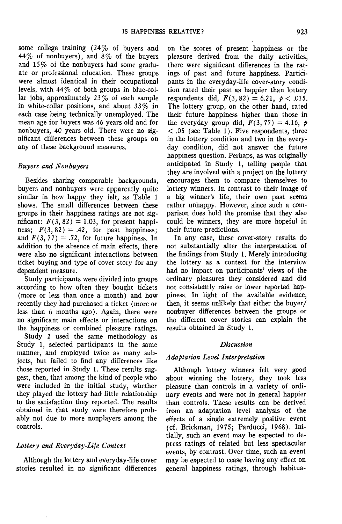some college training (24% of buyers and 44% of nonbuyers), and  $8\%$  of the buyers and 15% of the nonbuyers had some graduate or professional education. These groups were almost identical in their occupational levels, with 44% of both groups in blue-collar jobs, approximately  $23\%$  of each sample in white-collar positions, and about  $33\%$  in each case being technically unemployed. The mean age for buyers was 46 years old and for nonbuyers, 40 years old. There were no significant differences between these groups on any of these background measures.

## *Buyers and Nonbuyers*

Besides sharing comparable backgrounds, buyers and nonbuyers were apparently quite similar in how happy they felt, as Table 1 shows. The small differences between these groups in their happiness ratings are not significant:  $F(3, 82) = 1.03$ , for present happiness;  $F(3,82) = .42$ , for past happiness; and  $F(3, 77) = .72$ , for future happiness. In addition to the absence of main effects, there were also no significant interactions between ticket buying and type of cover story for any dependent measure.

Study participants were divided into groups according to how often they bought tickets (more or less than once a month) and how recently they had purchased a ticket (more or less than 6 months ago). Again, there were no significant main effects or interactions on the happiness or combined pleasure ratings.

Study 2 used the same methodology as Study 1, selected participants in the same manner, and employed twice as many subjects, but failed to find any differences like those reported in Study 1. These results suggest, then, that among the kind of people who were included in the initial study, whether they played the lottery had little relationship to the satisfaction they reported. The results obtained in that study were therefore probably not due to more nonplayers among the controls.

## *Lottery and Everyday-Life Context*

Although the lottery and everyday-life cover stories resulted in no significant differences

on the scores of present happiness or the pleasure derived from the daily activities, there were significant differences in the ratings of past and future happiness. Participants in the everyday-life cover-story condition rated their past as happier than lottery respondents did,  $F(3,82) = 6.21, \, p < .015.$ The lottery group, on the other hand, rated their future happiness higher than those in the everyday group did,  $F(3, 77) = 4.16$ ,  $p$ *<* .05 (see Table 1). Five respondents, three in the lottery condition and two in the everyday condition, did not answer the future happiness question. Perhaps, as was originally anticipated in Study 1, telling people that they are involved with a project on the lottery encourages them to compare themselves to lottery winners. In contrast to their image of a big winner's life, their own past seems rather unhappy. However, since such a comparison does hold the promise that they also could be winners, they are more hopeful in their future predictions.

In any case, these cover-story results do not substantially alter the interpretation of the findings from Study 1. Merely introducing the lottery as a context for the interview had no impact on participants' views of the ordinary pleasures they considered and did not consistently raise or lower reported happiness. In light of the available evidence, then, it seems unlikely that either the buyer/ non'buyer differences between the groups or the different cover stories can explain the results obtained in Study 1.

#### *Discussion*

#### *Adaptation Level Interpretation*

Although lottery winners felt very good about winning the lottery, they took less pleasure than controls in a variety of ordinary events and were not in general happier than controls. These results can be derived from an adaptation level analysis of the effects of a single extremely positive event (cf. Brickman, 1975; Parducci, 1968). Initially, such an event may be expected to depress ratings of related but less spectacular events, by contrast. Over time, such an event may be expected to cease having any effect on general happiness ratings, through habitua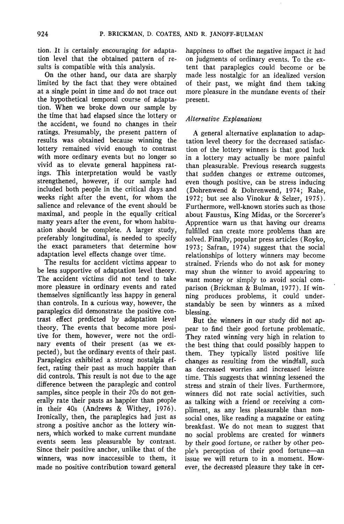tion. It is certainly encouraging for adaptation level that the obtained pattern of results is compatible with this analysis.

On the other hand, our data are sharply limited by the fact that they were obtained at a single point in time and do not trace out the hypothetical temporal course of adaptation. When we broke down our sample by the time that had elapsed since the lottery or the accident, we found no changes in their ratings. Presumably, the present pattern of results was obtained because winning the lottery remained vivid enough to contrast with more ordinary events but no longer so vivid as to elevate general happiness ratings. This interpretation would be vastly strengthened, however, if our sample had included both people in the critical days and weeks right after the event, for whom the salience and relevance of the event should be maximal, and people in the equally critical many years after the event, for whom habituation should be complete. A larger study, preferably longitudinal, is needed to specify the exact parameters that determine how adaptation level effects change over time.

The results for accident victims appear to be less supportive of adaptation level theory. The accident victims did not tend to take more pleasure in ordinary events and rated themselves significantly less happy in general than controls. In a curious way, however, the paraplegics did demonstrate the positive contrast effect predicted by adaptation level theory. The events that become more positive for them, however, were not the ordinary events of their present (as we expected), but the ordinary events of their past. Paraplegics exhibited a strong nostalgia effect, rating their past as much happier than did controls. This result is not due to the age difference between the paraplegic and control samples, since people in their 20s do not generally rate their pasts as happier than people in their 40s (Andrews & Withey, 1976). Ironically, then, the paraplegics had just as strong a positive anchor as the lottery winners, which worked to make current mundane events seem less pleasurable by contrast. Since their positive anchor, unlike that of the winners, was now inaccessible to them, it made no positive contribution toward general

happiness to offset the negative impact it had on judgments of ordinary events. To the extent that paraplegics could become or be made less nostalgic for an idealized version of their past, we might find them taking more pleasure in the mundane events of their present.

## *Alternative Explanations*

A general alternative explanation to adaptation level theory for the decreased satisfaction of the lottery winners is that good luck in a lottery may actually be more painful than pleasurable. Previous research suggests that sudden changes or extreme outcomes, even though positive, can be stress inducing (Dohrenwend & Dohrenwend, 1974; Rahe, 1972; but see also Vinokur & Selzer, 1975). Furthermore, well-known stories such as those about Faustus, King Midas, or the Sorcerer's Apprentice warn us that having our dreams fulfilled can create more problems than are solved. Finally, popular press articles (Royko, 1973; Safran, 1974) suggest that the social relationships of lottery winners may become strained. Friends who do not ask for money may shun the winner to avoid appearing to want money or simply to avoid social comparison (Brickman & Bulman, 1977). If winning produces problems, it could understandably be seen by winners as a mixed blessing.

But the winners in our study did not appear to find their good fortune problematic. They rated winning very high in relation to the best thing that could possibly happen to them. They typically listed positive life changes as resulting from the windfall, such as decreased worries and increased leisure time. This suggests that winning lessened the stress and strain of their lives. Furthermore, winners did not rate social activities, such as talking with a friend or receiving a compliment, as any less pleasurable than nonsocial ones, like reading a magazine or eating breakfast. We do not mean to suggest that no social problems are created for winners by their good fortune, or rather by other people's perception of their good fortune—an issue we will return to in a moment. However, the decreased pleasure they take in cer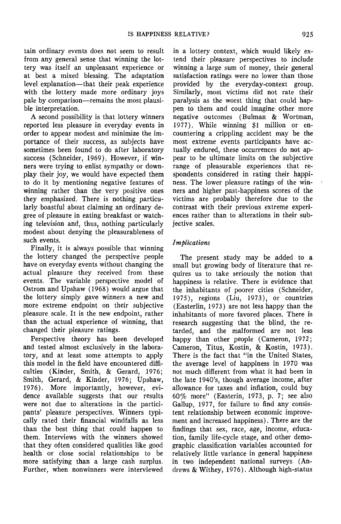tain ordinary events does not seem to result from any general sense that winning the lottery was itself an unpleasant experience or at best a mixed blessing. The adaptation level explanation—that their peak experience with the lottery made more ordinary joys pale by comparison—remains the most plausible interpretation.

A second possibility is that lottery winners reported less pleasure in everyday events in order to appear modest and minimize the importance of their success, as subjects have sometimes been found to do after laboratory success (Schneider, 1969). However, if winners were trying to enlist sympathy or downplay their joy, we would have expected them to do it by mentioning negative features of winning rather than the very positive ones they emphasized. There is nothing particularly boastful about claiming an ordinary degree of pleasure in eating breakfast or watching television and, thus, nothing particularly modest about denying the pleasurableness of such events.

Finally, it is always possible that winning the lottery changed the perspective people have on everyday events without changing the actual pleasure they received from these events. The variable perspective model of Ostrom and Upshaw (1968) would argue that the lottery simply gave winners a new and more extreme endpoint on their subjective pleasure scale, It is the new endpoint, rather than the actual experience of winning, that changed their pleasure ratings.

Perspective theory has been developed and tested almost exclusively in the laboratory, and at least some attempts to apply this model in the field have encountered difficulties (Kinder, Smith, & Gerard, 1976; Smith, Gerard, & Kinder, 1976; Upshaw, 1976). More importantly, however, evidence available suggests that our results were not due to alterations in the participants' pleasure perspectives. Winners typically rated their financial windfalls as less than the best thing that could happen to them. Interviews with the winners showed that they often considered qualities like good health or close social relationships to be more satisfying than a large cash surplus. Further, when nonwinners were interviewed

in a lottery context, which would likely extend their pleasure perspectives to include winning a large sum of money, their general satisfaction ratings were no lower than those provided by the everyday-context group. Similarly, most victims did not rate their paralysis as the worst thing that could happen to them and could imagine other more negative outcomes (Bulman & Wortman, 1977). While winning \$1 million or encountering a crippling accident may be the most extreme events participants have actually endured, these occurrences do not appear to be ultimate limits on the subjective range of pleasurable experiences that respondents considered in rating their happiness. The lower pleasure ratings of the winners and higher past-happiness scores of the victims are probably therefore due to the contrast with their previous extreme experiences rather than to alterations in their subjective scales.

## *Implications*

The present study may be added to a small but growing body of literature that requires us to take seriously the notion that happiness is relative. There is evidence that the inhabitants of poorer cities (Schneider, 197S), regions (Liu, 1973), or countries (Easterlin, 1973) are not less happy than the inhabitants of more favored places. There is research suggesting that the blind, the retarded, and the malformed are not less happy than other people (Cameron, 1972; Cameron, Titus, Kostin, & Kostin, 1973). There is the fact that "in the United States, the average level of happiness in 1970 was not much different from what it had been in the late 1940's, though average income, after allowance for taxes and inflation, could buy 60% more" (Easterin, 1973, p. 7; see also Gallup, 1977, for failure to find any consistent relationship between economic improvement and increased happiness). There are the findings that sex, race, age, income, education, family life-cycle stage, and other demographic classification variables accounted for relatively little variance in general happiness in two independent national surveys (Andrews & Withey, 1976). Although high-status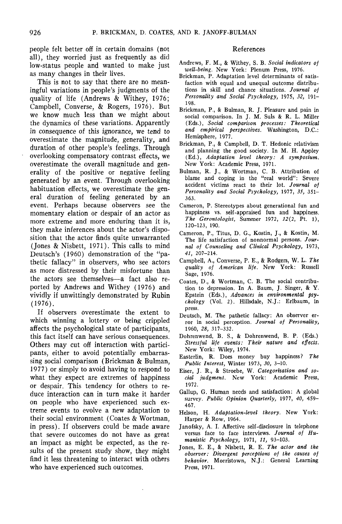people felt better off in certain domains (not all), they worried just as frequently as did low-status people and wanted to make just as many changes in their lives.

This is not to say that there are no meaningful variations in people's judgments of the quality of life (Andrews & Withey, 1976; Campbell, Converse, & Rogers, 1976). But we know much less than we might about the dynamics of these variations. Apparently in consequence of this ignorance, we tend to overestimate the magnitude, generality, and duration of other people's feelings. Through overlooking compensatory contrast effects, we overestimate the overall magnitude and generality of the positive or negative feeling generated by an event. Through overlooking habituation effects, we overestimate the general duration of feeling generated by an event. Perhaps because observers see the momentary elation or despair of an actor as more extreme and more enduring than it is, they make inferences about the actor's disposition that the actor finds quite unwarranted (Jones & Nisbett, 1971). This calls to mind Deutsch's (1960) demonstration of the "pathetic fallacy" in observers, who see actors as more distressed by their misfortune than the actors see themselves—a fact also reported by Andrews and Withey (1976) and vividly if unwittingly demonstrated by Rubin (1976).

If observers overestimate the extent to which winning a lottery or being crippled affects the psychological state of participants, this fact itself can have serious consequences. Others may cut off interaction with participants, either to avoid potentially embarrassing social comparison (Brickman & Bulman, 1977) or simply to avoid having to respond to what they expect are extremes of happiness or despair. This tendency for others to reduce interaction can in turn make it harder on people who have experienced such extreme events to evolve a new adaptation to their social environment (Coates & Wortman, in press). If observers could be made aware that severe outcomes do not have as great an impact as might be expected, as the results of the present study show, they might find it less threatening to interact with others who have experienced such outcomes.

#### References

- Andrews, F. M., & Withey, S. B. *Social indicators of well-being.* New York: Plenum Press, 1976.
- Brickman, P. Adaptation level determinants of satisfaction with equal and unequal outcome distributions in skill and chance situations. *Journal of Personality and Social Psychology,* 1975, *32,* 191- 198.
- Brickman, P., & Bulman, R. J. Pleasure and pain in social comparison. In J. M. Suls & R. L. Miller (Eds.), *Social comparison processes: Theoretical and empirical perspectives.* Washington, D.C.: Hemisphere, 1977.
- Brickman, P., & Campbell, D. T. Hedonic relativism and planning the good society. In M. H. Appley (Ed.), *Adaptation level theory: A symposium.* New York: Academic Press, 1971.
- Bulman, R. J., & Wortman, C. B. Attribution of blame and coping in the "real world": Severe accident victims react to their lot. *Journal of Personality and Social Psychology,* 1977, *35,* 351- 363.
- Cameron, P. Stereotypes about generational fun and happiness vs. self-appraised fun and happiness. *The Gerontologist,* Summer 1972, *12(2,* Pt. 1), 120-123, 190.
- Cameron, P., Titus, D. G., Kostin, J., & Kostin, M. The life satisfaction of nonnormal persons. *Journal of Counseling and Clinical Psychology,* 1973, *41,* 207-214.
- Campbell, A., Converse, P. E., & Rodgers, W. L. *The quality of American life.* New York: Russell Sage, 1976.
- Coates, D., & Wortman, C. B. The social contribution to depression. In A. Baum, J. Singer, & Y. Epstein (Eds.), *Advances in environmental psychology* (Vol. 2). Hillsdale, N.J.: Erlbaum, in press.
- Deutsch, M. The pathetic fallacy: An observer error in social perception. *Journal of Personality,* 1960, *28,* 317-332.
- Dohrenwend, B. S., & Dohrenwend, B. P. (Eds.) *Stressful life events: Their nature and effects.* New York: Wiley, 1974.
- Easterlin, R. Does money buy happiness? *The Public Interest,* Winter 1973, *30,* 3-10.
- Eiser, J. R., & Stroebe, W. *Categorization and social judgment.* New York: Academic Press, 1972.
- Gallup, G. Human needs and satisfaction: A global survey. *Public Opinion Quarterly,* 1977, *40,* 459- 467.
- Helson, H. *Adaptation-level theory.* New York: Harper & Row, 1964.
- Janofsky, A. I. Affective self-disclosure in telephone versus face to face interviews. *Journal of Humanistic Psychology,* 1971, *11,* 93-103.
- Jones, E. E., & Nisbett, R. E. *The actor and the observer: Divergent perceptions of the causes of behavior.* Morristown, N.J.: General Learning Press, 1971.